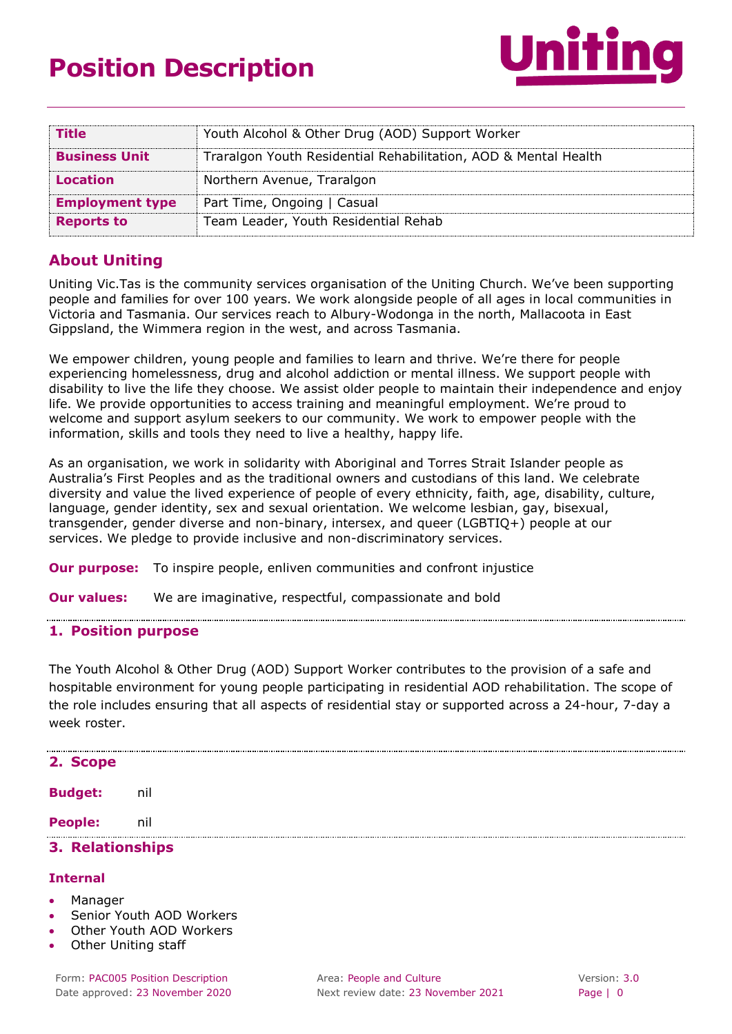# **Position Description**



| <b>Title</b>           | Youth Alcohol & Other Drug (AOD) Support Worker                 |  |  |  |
|------------------------|-----------------------------------------------------------------|--|--|--|
| <b>Business Unit</b>   | Traralgon Youth Residential Rehabilitation, AOD & Mental Health |  |  |  |
| <b>Location</b>        | Northern Avenue, Traralgon                                      |  |  |  |
| <b>Employment type</b> | Part Time, Ongoing   Casual                                     |  |  |  |
| <b>Reports to</b>      | Team Leader, Youth Residential Rehab                            |  |  |  |
|                        |                                                                 |  |  |  |

# **About Uniting**

Uniting Vic.Tas is the community services organisation of the Uniting Church. We've been supporting people and families for over 100 years. We work alongside people of all ages in local communities in Victoria and Tasmania. Our services reach to Albury-Wodonga in the north, Mallacoota in East Gippsland, the Wimmera region in the west, and across Tasmania.

We empower children, young people and families to learn and thrive. We're there for people experiencing homelessness, drug and alcohol addiction or mental illness. We support people with disability to live the life they choose. We assist older people to maintain their independence and enjoy life. We provide opportunities to access training and meaningful employment. We're proud to welcome and support asylum seekers to our community. We work to empower people with the information, skills and tools they need to live a healthy, happy life.

As an organisation, we work in solidarity with Aboriginal and Torres Strait Islander people as Australia's First Peoples and as the traditional owners and custodians of this land. We celebrate diversity and value the lived experience of people of every ethnicity, faith, age, disability, culture, language, gender identity, sex and sexual orientation. We welcome lesbian, gay, bisexual, transgender, gender diverse and non-binary, intersex, and queer (LGBTIQ+) people at our services. We pledge to provide inclusive and non-discriminatory services.

**Our purpose:** To inspire people, enliven communities and confront injustice

**Our values:** We are imaginative, respectful, compassionate and bold

#### **1. Position purpose**

The Youth Alcohol & Other Drug (AOD) Support Worker contributes to the provision of a safe and hospitable environment for young people participating in residential AOD rehabilitation. The scope of the role includes ensuring that all aspects of residential stay or supported across a 24-hour, 7-day a week roster.

| 2. Scope         |     |  |  |  |  |  |
|------------------|-----|--|--|--|--|--|
| <b>Budget:</b>   | nil |  |  |  |  |  |
| <b>People:</b>   | nil |  |  |  |  |  |
| 3. Relationships |     |  |  |  |  |  |

#### **Internal**

- Manager
- Senior Youth AOD Workers
- Other Youth AOD Workers
- Other Uniting staff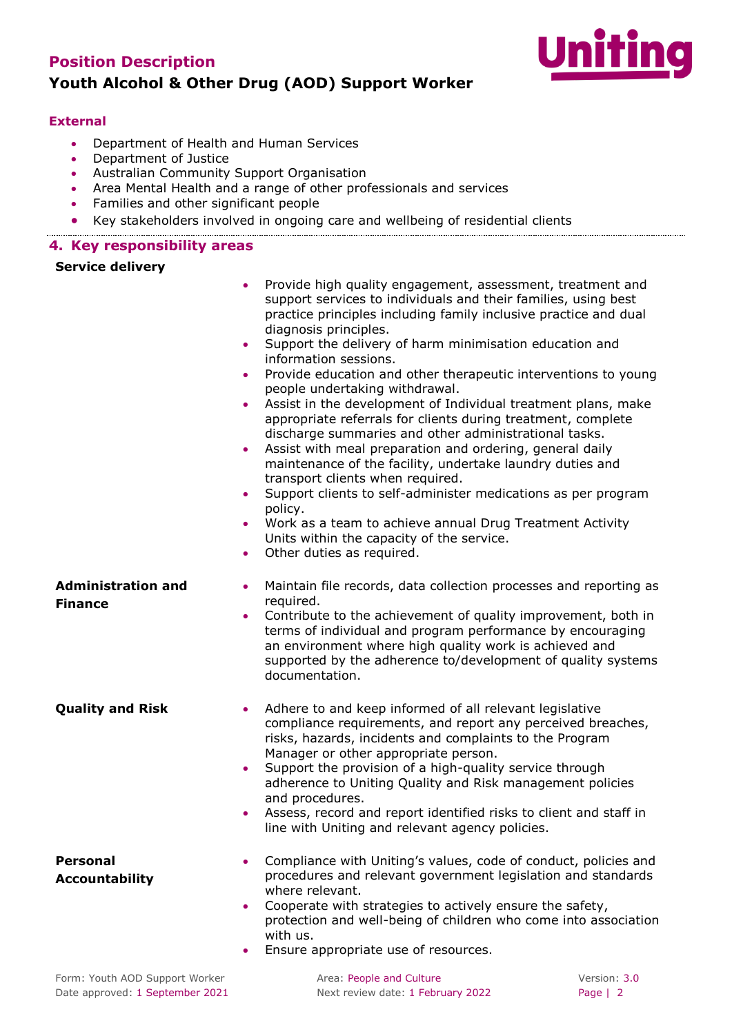# **Position Description Youth Alcohol & Other Drug (AOD) Support Worker**



#### **External**

- Department of Health and Human Services
- Department of Justice
- Australian Community Support Organisation
- Area Mental Health and a range of other professionals and services
- Families and other significant people
- Key stakeholders involved in ongoing care and wellbeing of residential clients

#### **4. Key responsibility areas**

#### **Service delivery**

| $\bullet$<br>$\bullet$<br>$\bullet$<br>$\bullet$<br>$\bullet$<br>$\bullet$<br>$\bullet$<br>$\bullet$ | Provide high quality engagement, assessment, treatment and<br>support services to individuals and their families, using best<br>practice principles including family inclusive practice and dual<br>diagnosis principles.<br>Support the delivery of harm minimisation education and<br>information sessions.<br>Provide education and other therapeutic interventions to young<br>people undertaking withdrawal.<br>Assist in the development of Individual treatment plans, make<br>appropriate referrals for clients during treatment, complete<br>discharge summaries and other administrational tasks.<br>Assist with meal preparation and ordering, general daily<br>maintenance of the facility, undertake laundry duties and<br>transport clients when required.<br>Support clients to self-administer medications as per program<br>policy.<br>Work as a team to achieve annual Drug Treatment Activity<br>Units within the capacity of the service.<br>Other duties as required. |
|------------------------------------------------------------------------------------------------------|--------------------------------------------------------------------------------------------------------------------------------------------------------------------------------------------------------------------------------------------------------------------------------------------------------------------------------------------------------------------------------------------------------------------------------------------------------------------------------------------------------------------------------------------------------------------------------------------------------------------------------------------------------------------------------------------------------------------------------------------------------------------------------------------------------------------------------------------------------------------------------------------------------------------------------------------------------------------------------------------|
| <b>Administration and</b><br>$\bullet$                                                               | Maintain file records, data collection processes and reporting as                                                                                                                                                                                                                                                                                                                                                                                                                                                                                                                                                                                                                                                                                                                                                                                                                                                                                                                          |
| <b>Finance</b><br>$\bullet$                                                                          | required.<br>Contribute to the achievement of quality improvement, both in<br>terms of individual and program performance by encouraging<br>an environment where high quality work is achieved and<br>supported by the adherence to/development of quality systems<br>documentation.                                                                                                                                                                                                                                                                                                                                                                                                                                                                                                                                                                                                                                                                                                       |
| <b>Quality and Risk</b><br>$\bullet$<br>$\bullet$<br>٠                                               | Adhere to and keep informed of all relevant legislative<br>compliance requirements, and report any perceived breaches,<br>risks, hazards, incidents and complaints to the Program<br>Manager or other appropriate person.<br>Support the provision of a high-quality service through<br>adherence to Uniting Quality and Risk management policies<br>and procedures.<br>Assess, record and report identified risks to client and staff in<br>line with Uniting and relevant agency policies.                                                                                                                                                                                                                                                                                                                                                                                                                                                                                               |
| <b>Personal</b><br>۰<br><b>Accountability</b>                                                        | Compliance with Uniting's values, code of conduct, policies and<br>procedures and relevant government legislation and standards<br>where relevant.<br>Cooperate with strategies to actively ensure the safety,<br>protection and well-being of children who come into association<br>with us.<br>Ensure appropriate use of resources.                                                                                                                                                                                                                                                                                                                                                                                                                                                                                                                                                                                                                                                      |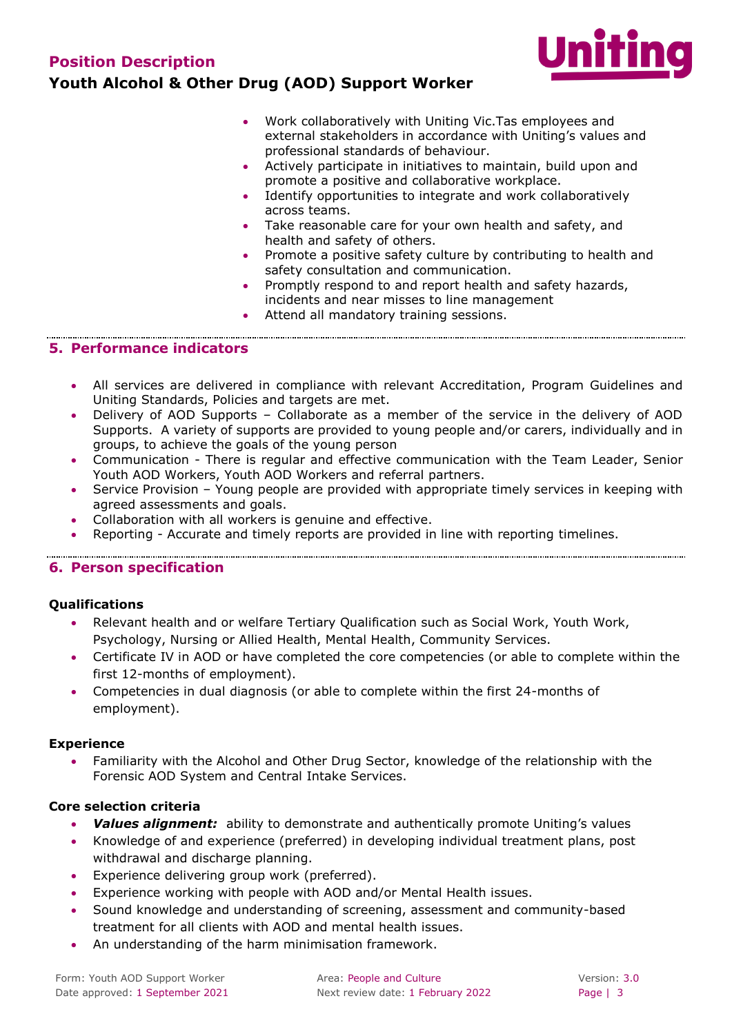

- Work collaboratively with Uniting Vic.Tas employees and external stakeholders in accordance with Uniting's values and professional standards of behaviour.
- Actively participate in initiatives to maintain, build upon and promote a positive and collaborative workplace.
- Identify opportunities to integrate and work collaboratively across teams.
- Take reasonable care for your own health and safety, and health and safety of others.
- Promote a positive safety culture by contributing to health and safety consultation and communication.
- Promptly respond to and report health and safety hazards, incidents and near misses to line management
- Attend all mandatory training sessions.

## **5. Performance indicators**

- All services are delivered in compliance with relevant Accreditation, Program Guidelines and Uniting Standards, Policies and targets are met.
- Delivery of AOD Supports Collaborate as a member of the service in the delivery of AOD Supports. A variety of supports are provided to young people and/or carers, individually and in groups, to achieve the goals of the young person
- Communication There is regular and effective communication with the Team Leader, Senior Youth AOD Workers, Youth AOD Workers and referral partners.
- Service Provision Young people are provided with appropriate timely services in keeping with agreed assessments and goals.

- Collaboration with all workers is genuine and effective.
- Reporting Accurate and timely reports are provided in line with reporting timelines.

#### **6. Person specification**

#### **Qualifications**

- Relevant health and or welfare Tertiary Qualification such as Social Work, Youth Work, Psychology, Nursing or Allied Health, Mental Health, Community Services.
- Certificate IV in AOD or have completed the core competencies (or able to complete within the first 12-months of employment).
- Competencies in dual diagnosis (or able to complete within the first 24-months of employment).

#### **Experience**

 Familiarity with the Alcohol and Other Drug Sector, knowledge of the relationship with the Forensic AOD System and Central Intake Services.

#### **Core selection criteria**

- *Values alignment:* ability to demonstrate and authentically promote Uniting's values
- Knowledge of and experience (preferred) in developing individual treatment plans, post withdrawal and discharge planning.
- Experience delivering group work (preferred).
- Experience working with people with AOD and/or Mental Health issues.
- Sound knowledge and understanding of screening, assessment and community-based treatment for all clients with AOD and mental health issues.
- An understanding of the harm minimisation framework.